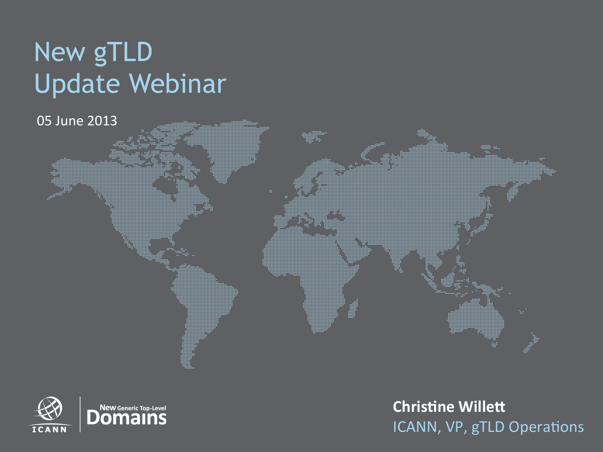# New gTLD Update Webinar

05 June 2013



**Christine Willett** ICANN, VP, gTLD Operations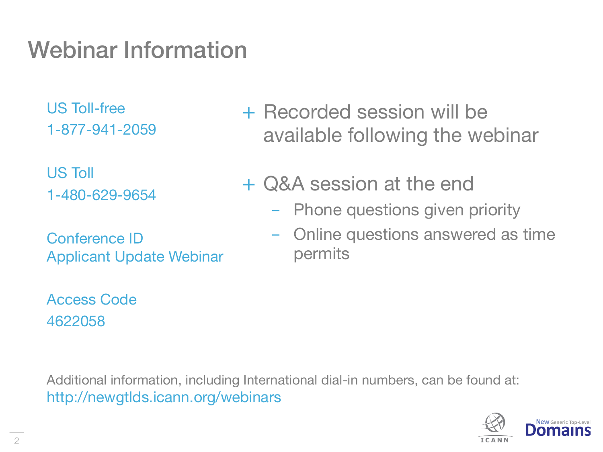## Webinar Information

US Toll-free 1-877-941-2059

US Toll 1-480-629-9654

Conference ID Applicant Update Webinar

Access Code 4622058

+ Recorded session will be available following the webinar

- + Q&A session at the end
	- Phone questions given priority
	- Online questions answered as time permits

Additional information, including International dial-in numbers, can be found at: http://newgtlds.icann.org/webinars

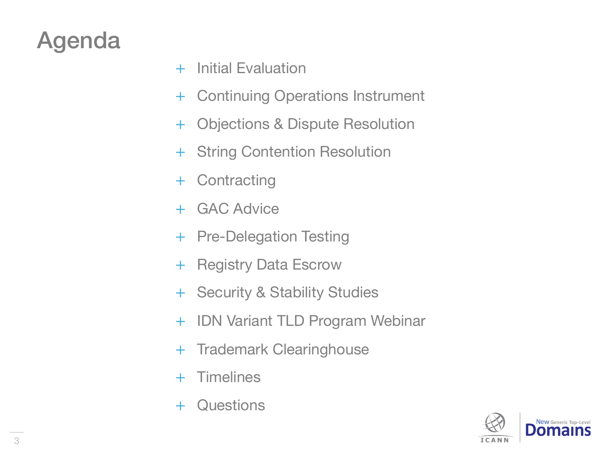## Agenda

- + Initial Evaluation
- + Continuing Operations Instrument
- + Objections & Dispute Resolution
- + String Contention Resolution
- + Contracting
- + GAC Advice
- + Pre-Delegation Testing
- + Registry Data Escrow
- + Security & Stability Studies
- + IDN Variant TLD Program Webinar
- + Trademark Clearinghouse
- + Timelines
- + Questions

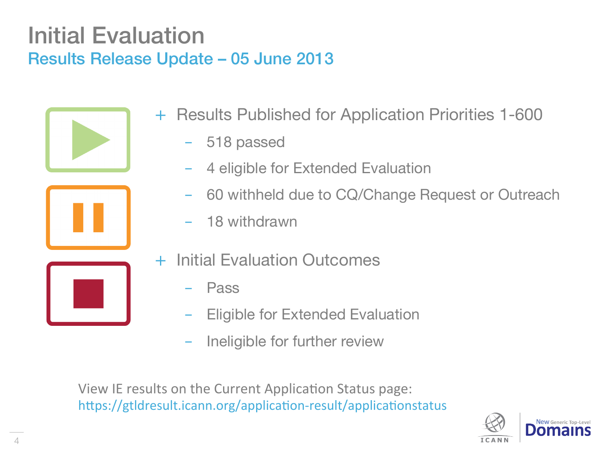### Initial Evaluation Results Release Update – 05 June 2013



- + Results Published for Application Priorities 1-600
	- 518 passed
	- 4 eligible for Extended Evaluation
	- 60 withheld due to CQ/Change Request or Outreach
	- 18 withdrawn
	- **Initial Evaluation Outcomes** 
		- **Pass**
		- **Eligible for Extended Evaluation**
		- Ineligible for further review

View IE results on the Current Application Status page: https://gtldresult.icann.org/application-result/applicationstatus

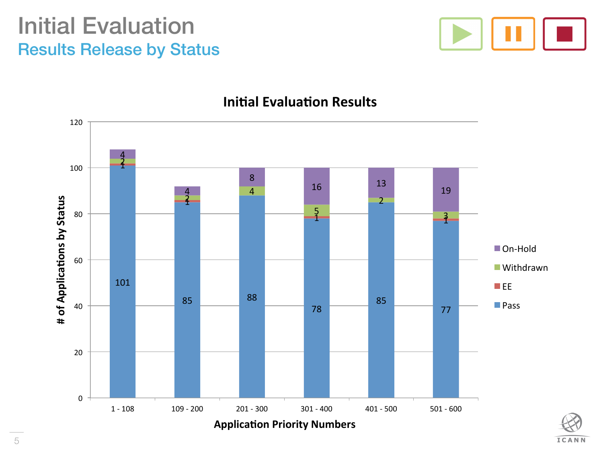### Initial Evaluation Results Release by Status



**ICANN** 



#### **Initial Evaluation Results**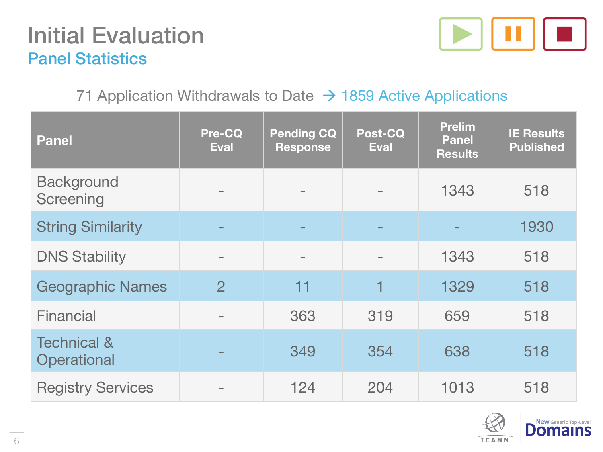### Initial Evaluation Panel Statistics



### 71 Application Withdrawals to Date  $\rightarrow$  1859 Active Applications

| <b>Panel</b>                          | <b>Pre-CQ</b><br><b>Eval</b> | <b>Pending CQ</b><br><b>Response</b> | Post-CQ<br><b>Eval</b> | <b>Prelim</b><br><b>Panel</b><br><b>Results</b> | <b>IE Results</b><br><b>Published</b> |
|---------------------------------------|------------------------------|--------------------------------------|------------------------|-------------------------------------------------|---------------------------------------|
| <b>Background</b><br>Screening        |                              |                                      |                        | 1343                                            | 518                                   |
| <b>String Similarity</b>              |                              |                                      |                        |                                                 | 1930                                  |
| <b>DNS Stability</b>                  |                              | $\equiv$                             |                        | 1343                                            | 518                                   |
| <b>Geographic Names</b>               | $\overline{2}$               | 11                                   | 1                      | 1329                                            | 518                                   |
| Financial                             |                              | 363                                  | 319                    | 659                                             | 518                                   |
| <b>Technical &amp;</b><br>Operational |                              | 349                                  | 354                    | 638                                             | 518                                   |
| <b>Registry Services</b>              |                              | 124                                  | 204                    | 1013                                            | 518                                   |

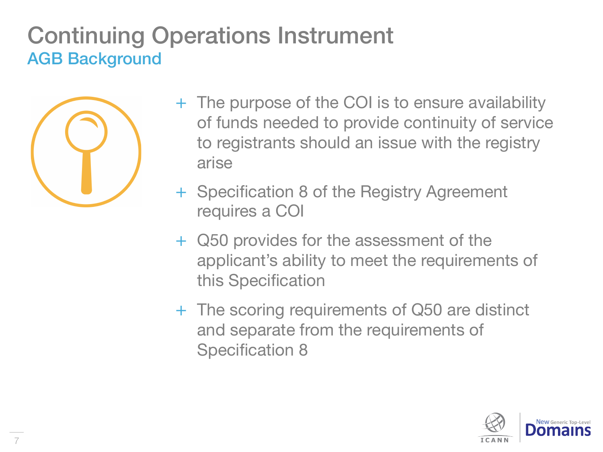## Continuing Operations Instrument AGB Background



- + The purpose of the COI is to ensure availability of funds needed to provide continuity of service to registrants should an issue with the registry arise
- + Specification 8 of the Registry Agreement requires a COI
- + Q50 provides for the assessment of the applicant's ability to meet the requirements of this Specification
- + The scoring requirements of Q50 are distinct and separate from the requirements of Specification 8

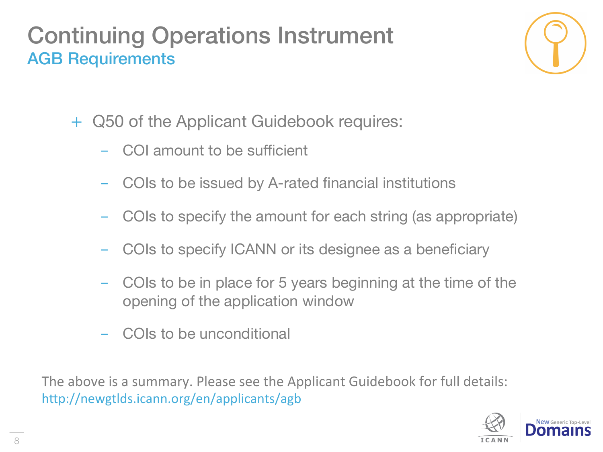## Continuing Operations Instrument AGB Requirements



- + Q50 of the Applicant Guidebook requires:
	- COI amount to be sufficient
	- COIs to be issued by A-rated financial institutions
	- COIs to specify the amount for each string (as appropriate)
	- COIs to specify ICANN or its designee as a beneficiary
	- COIs to be in place for 5 years beginning at the time of the opening of the application window
	- COIs to be unconditional

The above is a summary. Please see the Applicant Guidebook for full details: http://newgtlds.icann.org/en/applicants/agb

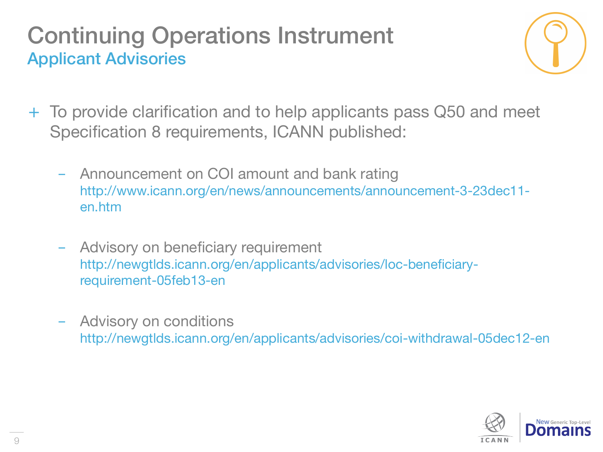## Continuing Operations Instrument Applicant Advisories



- + To provide clarification and to help applicants pass Q50 and meet Specification 8 requirements, ICANN published:
	- Announcement on COI amount and bank rating http://www.icann.org/en/news/announcements/announcement-3-23dec11 en.htm
	- Advisory on beneficiary requirement http://newgtlds.icann.org/en/applicants/advisories/loc-beneficiaryrequirement-05feb13-en
	- Advisory on conditions http://newgtlds.icann.org/en/applicants/advisories/coi-withdrawal-05dec12-en

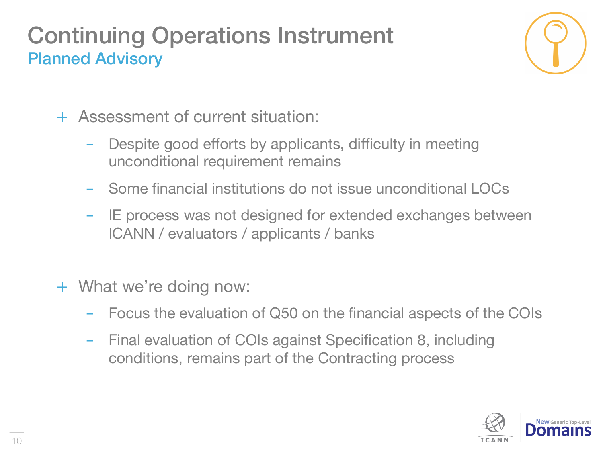## Continuing Operations Instrument Planned Advisory



- + Assessment of current situation:
	- Despite good efforts by applicants, difficulty in meeting unconditional requirement remains
	- Some financial institutions do not issue unconditional LOCs
	- IE process was not designed for extended exchanges between ICANN / evaluators / applicants / banks
- + What we're doing now:
	- Focus the evaluation of Q50 on the financial aspects of the COIs
	- Final evaluation of COIs against Specification 8, including conditions, remains part of the Contracting process

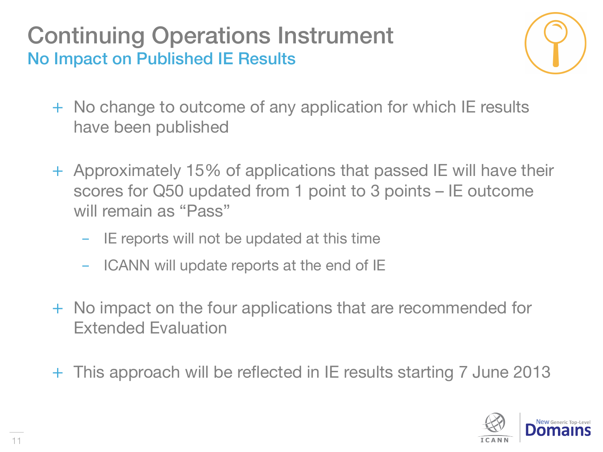Continuing Operations Instrument No Impact on Published IE Results



- + No change to outcome of any application for which IE results have been published
- + Approximately 15% of applications that passed IE will have their scores for Q50 updated from 1 point to 3 points – IE outcome will remain as "Pass"
	- IE reports will not be updated at this time
	- ICANN will update reports at the end of IE
- + No impact on the four applications that are recommended for Extended Evaluation
- + This approach will be reflected in IE results starting 7 June 2013

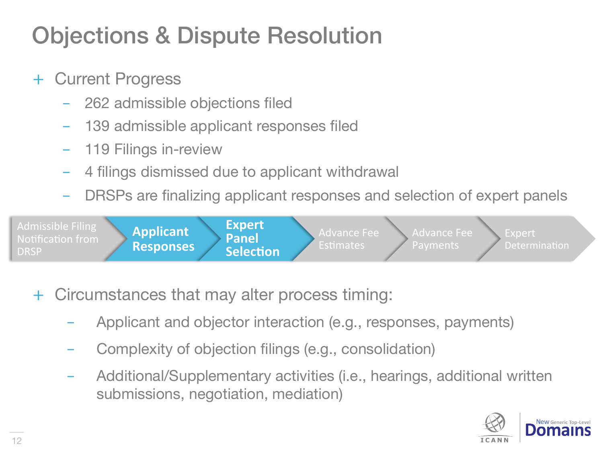## Objections & Dispute Resolution

### + Current Progress

- 262 admissible objections filed
- 139 admissible applicant responses filed
- 119 Filings in-review
- 4 filings dismissed due to applicant withdrawal
- DRSPs are finalizing applicant responses and selection of expert panels



- + Circumstances that may alter process timing:
	- Applicant and objector interaction (e.g., responses, payments)
	- Complexity of objection filings (e.g., consolidation)
	- Additional/Supplementary activities (i.e., hearings, additional written submissions, negotiation, mediation)

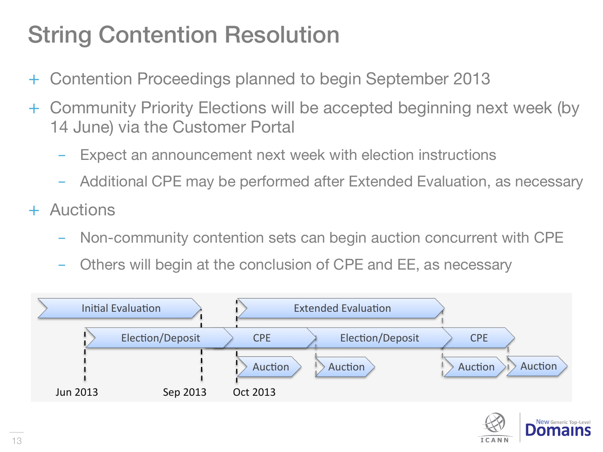## String Contention Resolution

- + Contention Proceedings planned to begin September 2013
- + Community Priority Elections will be accepted beginning next week (by 14 June) via the Customer Portal
	- Expect an announcement next week with election instructions
	- Additional CPE may be performed after Extended Evaluation, as necessary
- + Auctions
	- Non-community contention sets can begin auction concurrent with CPE
	- Others will begin at the conclusion of CPE and EE, as necessary



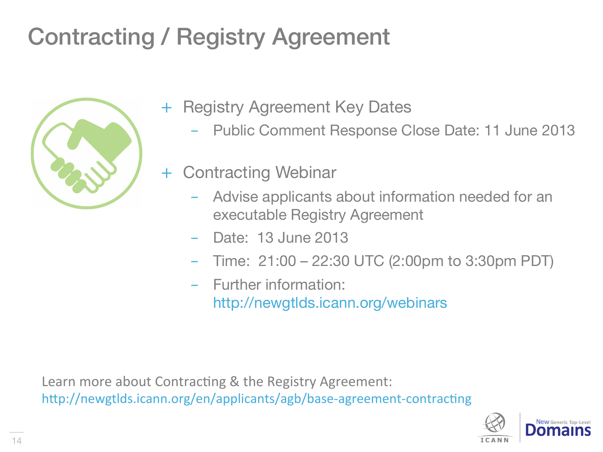## Contracting / Registry Agreement



- + Registry Agreement Key Dates
	- Public Comment Response Close Date: 11 June 2013
	- **Contracting Webinar** 
		- Advise applicants about information needed for an executable Registry Agreement
		- Date: 13 June 2013
		- Time: 21:00 22:30 UTC (2:00pm to 3:30pm PDT)
		- Further information: http://newgtlds.icann.org/webinars

Learn more about Contracting & the Registry Agreement: http://newgtlds.icann.org/en/applicants/agb/base-agreement-contracting

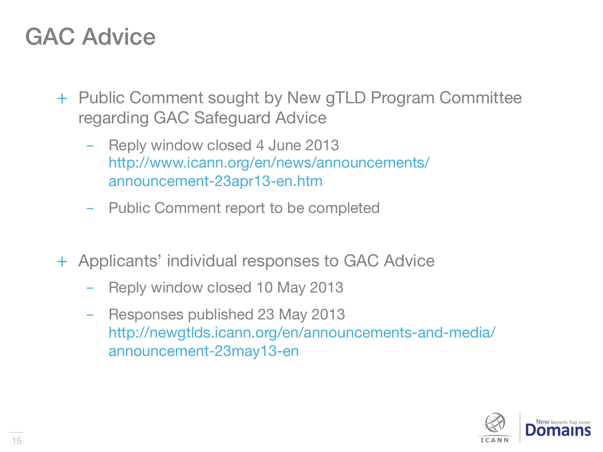## GAC Advice

- + Public Comment sought by New gTLD Program Committee regarding GAC Safeguard Advice
	- Reply window closed 4 June 2013 http://www.icann.org/en/news/announcements/ announcement-23apr13-en.htm
	- Public Comment report to be completed
- + Applicants' individual responses to GAC Advice
	- Reply window closed 10 May 2013
	- Responses published 23 May 2013 http://newgtlds.icann.org/en/announcements-and-media/ announcement-23may13-en

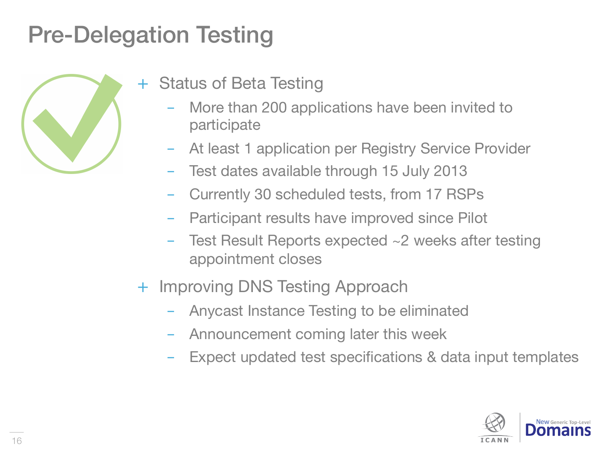## Pre-Delegation Testing



- + Status of Beta Testing
	- More than 200 applications have been invited to participate
	- At least 1 application per Registry Service Provider
	- Test dates available through 15 July 2013
	- Currently 30 scheduled tests, from 17 RSPs
	- Participant results have improved since Pilot
	- Test Result Reports expected  $\sim$ 2 weeks after testing appointment closes
- + Improving DNS Testing Approach
	- Anycast Instance Testing to be eliminated
	- Announcement coming later this week
	- Expect updated test specifications & data input templates

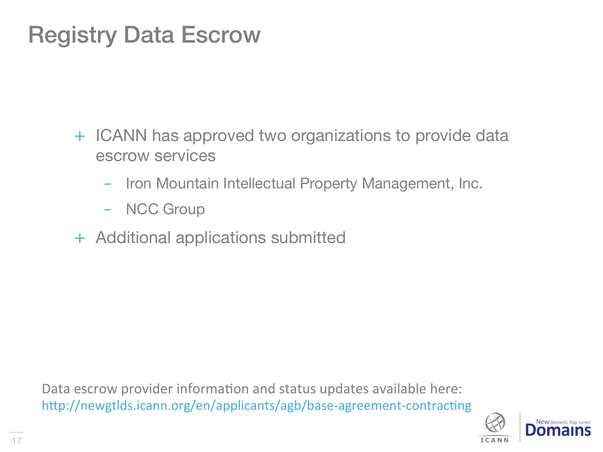## Registry Data Escrow

- + ICANN has approved two organizations to provide data escrow services
	- Iron Mountain Intellectual Property Management, Inc.
	- NCC Group
- + Additional applications submitted

Data escrow provider information and status updates available here: http://newgtlds.icann.org/en/applicants/agb/base-agreement-contracting

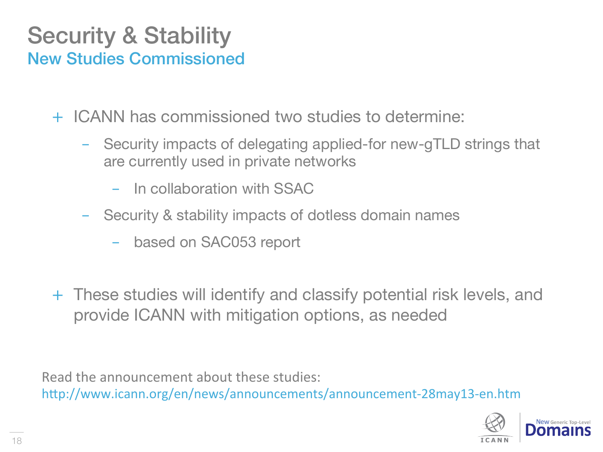### Security & Stability New Studies Commissioned

+ ICANN has commissioned two studies to determine:

- Security impacts of delegating applied-for new-gTLD strings that are currently used in private networks
	- In collaboration with SSAC
- Security & stability impacts of dotless domain names
	- based on SAC053 report
- + These studies will identify and classify potential risk levels, and provide ICANN with mitigation options, as needed

Read the announcement about these studies:

http://www.icann.org/en/news/announcements/announcement-28may13-en.htm

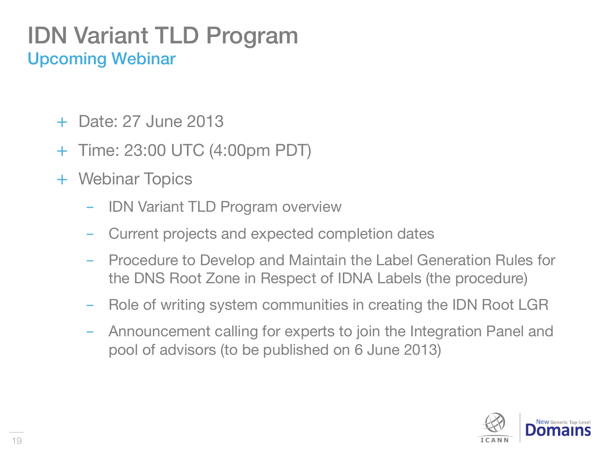### IDN Variant TLD Program Upcoming Webinar

- + Date: 27 June 2013
- + Time: 23:00 UTC (4:00pm PDT)
- + Webinar Topics
	- IDN Variant TLD Program overview
	- Current projects and expected completion dates
	- Procedure to Develop and Maintain the Label Generation Rules for the DNS Root Zone in Respect of IDNA Labels (the procedure)
	- Role of writing system communities in creating the IDN Root LGR
	- Announcement calling for experts to join the Integration Panel and pool of advisors (to be published on 6 June 2013)

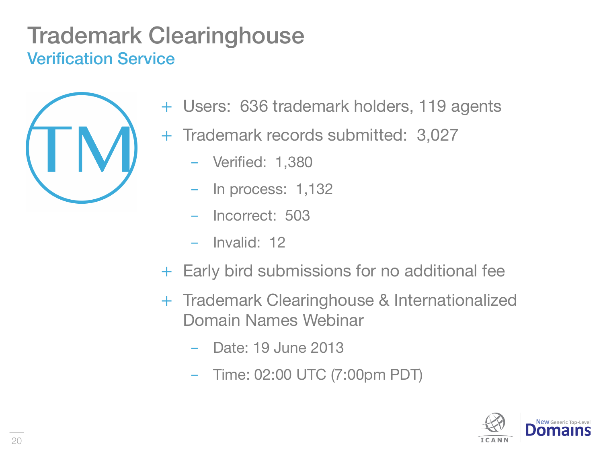## Trademark Clearinghouse Verification Service



- + Users: 636 trademark holders, 119 agents
- + Trademark records submitted: 3,027
	- Verified: 1,380
	- In process: 1,132
	- Incorrect: 503
	- Invalid: 12
- + Early bird submissions for no additional fee
- + Trademark Clearinghouse & Internationalized Domain Names Webinar
	- Date: 19 June 2013
	- Time: 02:00 UTC (7:00pm PDT)

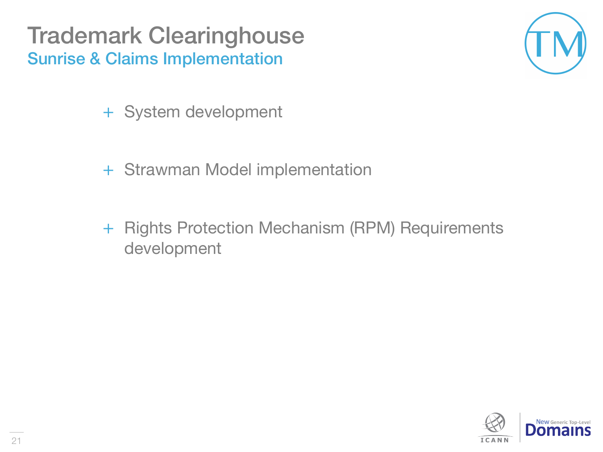Trademark Clearinghouse Sunrise & Claims Implementation

- + System development
- + Strawman Model implementation
- + Rights Protection Mechanism (RPM) Requirements development

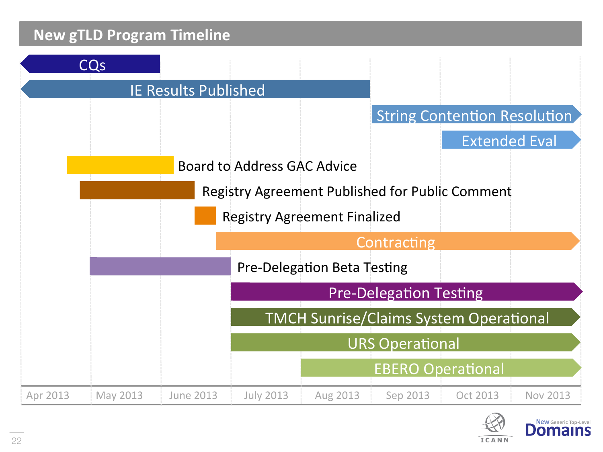



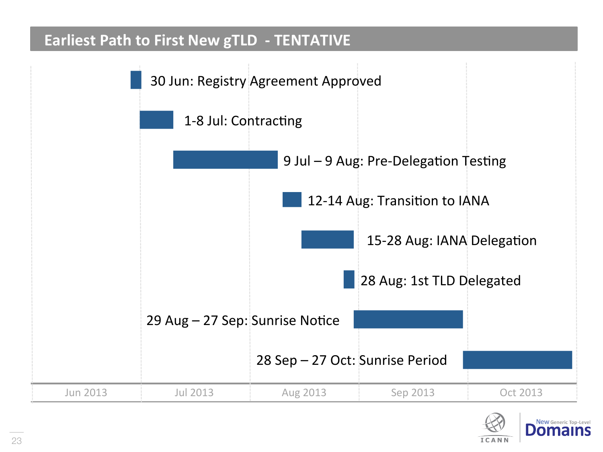#### **Earliest Path to First New gTLD - TENTATIVE**